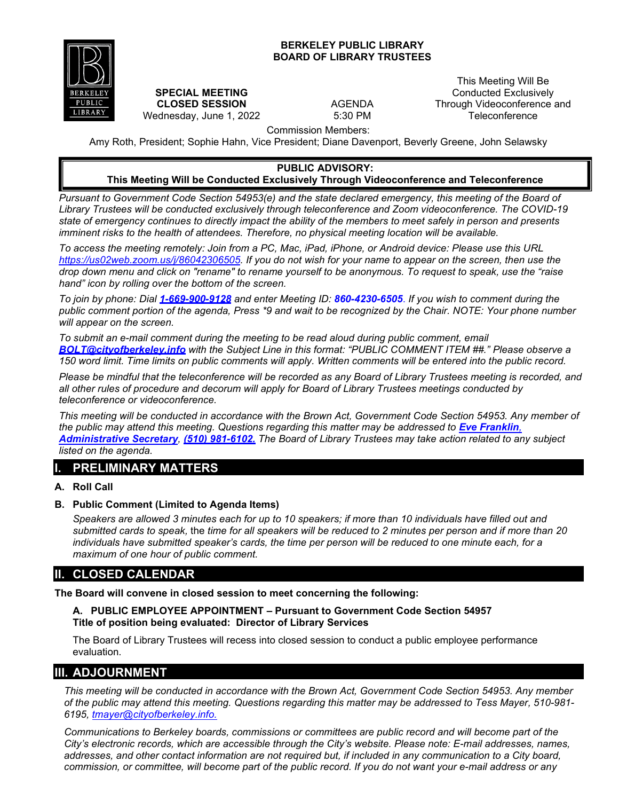#### **BERKELEY PUBLIC LIBRARY BOARD OF LIBRARY TRUSTEES**



#### **SPECIAL MEETING CLOSED SESSION** Wednesday, June 1, 2022

AGENDA 5:30 PM

This Meeting Will Be Conducted Exclusively Through Videoconference and **Teleconference** 

Commission Members:

Amy Roth, President; Sophie Hahn, Vice President; Diane Davenport, Beverly Greene, John Selawsky

# **PUBLIC ADVISORY:**

## **This Meeting Will be Conducted Exclusively Through Videoconference and Teleconference**

*Pursuant to Government Code Section 54953(e) and the state declared emergency, this meeting of the Board of Library Trustees will be conducted exclusively through teleconference and Zoom videoconference. The COVID-19 state of emergency continues to directly impact the ability of the members to meet safely in person and presents imminent risks to the health of attendees. Therefore, no physical meeting location will be available.* 

*To access the meeting remotely: Join from a PC, Mac, iPad, iPhone, or Android device: Please use this URL [https://us02web.zoom.us/j/86042306505.](https://us02web.zoom.us/j/86042306505) If you do not wish for your name to appear on the screen, then use the drop down menu and click on "rename" to rename yourself to be anonymous. To request to speak, use the "raise hand" icon by rolling over the bottom of the screen.*

*To join by phone: Dial 1-669-900-9128 and enter Meeting ID: 860-4230-6505*. *If you wish to comment during the public comment portion of the agenda, Press \*9 and wait to be recognized by the Chair. NOTE: Your phone number will appear on the screen.*

*To submit an e-mail comment during the meeting to be read aloud during public comment, email [BOLT@cityofberkeley.info](mailto:BOLT@cityofberkeley.info) with the Subject Line in this format: "PUBLIC COMMENT ITEM ##." Please observe a 150 word limit. Time limits on public comments will apply. Written comments will be entered into the public record.*

*Please be mindful that the teleconference will be recorded as any Board of Library Trustees meeting is recorded, and all other rules of procedure and decorum will apply for Board of Library Trustees meetings conducted by teleconference or videoconference.*

*This meeting will be conducted in accordance with the Brown Act, Government Code Section 54953. Any member of the public may attend this meeting. Questions regarding this matter may be addressed to <i>[Eve Franklin](mailto:BOLT@cityofberkeley.info)*, *[Administrative Secretary](mailto:BOLT@cityofberkeley.info), (510) 981-6102. The Board of Library Trustees may take action related to any subject listed on the agenda.*

## **I. PRELIMINARY MATTERS**

### **A. Roll Call**

### **B. Public Comment (Limited to Agenda Items)**

*Speakers are allowed 3 minutes each for up to 10 speakers; if more than 10 individuals have filled out and submitted cards to speak,* the *time for all speakers will be reduced to 2 minutes per person and if more than 20 individuals have submitted speaker's cards, the time per person will be reduced to one minute each, for a maximum of one hour of public comment.*

## **II. CLOSED CALENDAR**

**The Board will convene in closed session to meet concerning the following:**

### **A. PUBLIC EMPLOYEE APPOINTMENT – Pursuant to Government Code Section 54957 Title of position being evaluated: Director of Library Services**

The Board of Library Trustees will recess into closed session to conduct a public employee performance evaluation.

# **III. ADJOURNMENT**

*This meeting will be conducted in accordance with the Brown Act, Government Code Section 54953. Any member of the public may attend this meeting. Questions regarding this matter may be addressed to Tess Mayer, 510-981- 6195, [tmayer@cityofberkeley.info.](mailto:tmayer@cityofberkeley.info.)*

*Communications to Berkeley boards, commissions or committees are public record and will become part of the City's electronic records, which are accessible through the City's website. Please note: E-mail addresses, names,*  addresses, and other contact information are not required but, if included in any communication to a City board, *commission, or committee, will become part of the public record. If you do not want your e-mail address or any*